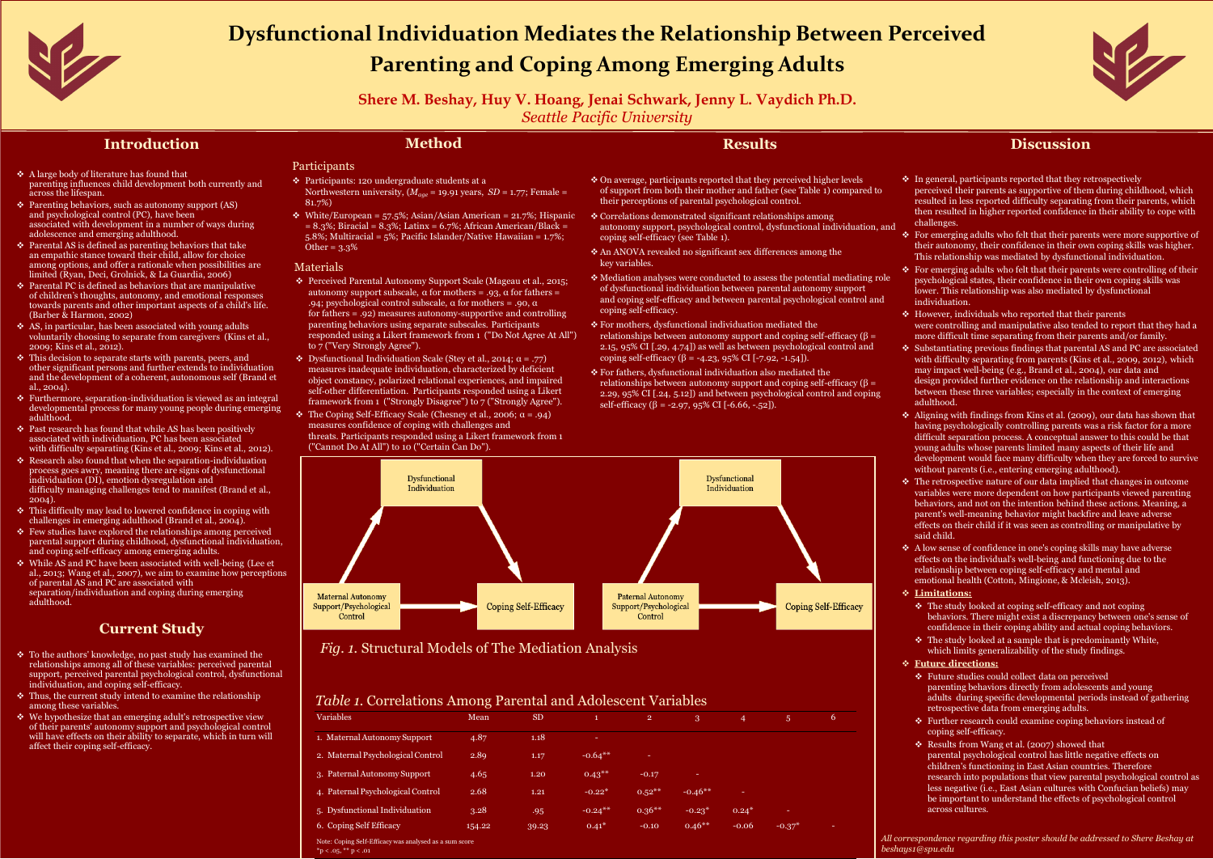

- ◆ A large body of literature has found that parenting influences child development both currently and across the lifespan.
- ◆ Parenting behaviors, such as autonomy support (AS) and psychological control (PC), have been associated with development in a number of ways during adolescence and emerging adulthood.
- $\div$  Parental AS is defined as parenting behaviors that take an empathic stance toward their child, allow for choice among options, and offer a rationale when possibilities are limited (Ryan, Deci, Grolnick, & La Guardia, 2006)
- $\triangle$  Parental PC is defined as behaviors that are manipulative of children's thoughts, autonomy, and emotional responses towards parents and other important aspects of a child's life. (Barber & Harmon, 2002)
- ◆ AS, in particular, has been associated with young adults voluntarily choosing to separate from caregivers (Kins et al., 2009; Kins et al., 2012).
- $\blacklozenge$  This decision to separate starts with parents, peers, and other significant persons and further extends to individuation and the development of a coherent, autonomous self (Brand et al., 2004).
- v Furthermore, separation-individuation is viewed as an integral developmental process for many young people during emerging adulthood.
- ◆ Past research has found that while AS has been positively associated with individuation, PC has been associated with difficulty separating (Kins et al., 2009; Kins et al., 2012).
- ◆ Research also found that when the separation-individuation process goes awry, meaning there are signs of dysfunctional individuation (DI), emotion dysregulation and difficulty managing challenges tend to manifest (Brand et al., 2004).
- ◆ This difficulty may lead to lowered confidence in coping with challenges in emerging adulthood (Brand et al., 2004).
- ◆ Few studies have explored the relationships among perceived parental support during childhood, dysfunctional individuation, and coping self-efficacy among emerging adults.
- v While AS and PC have been associated with well-being (Lee et al., 2013; Wang et al., 2007), we aim to examine how perceptions of parental AS and PC are associated with separation/individuation and coping during emerging adulthood.

- ◆ To the authors' knowledge, no past study has examined the relationships among all of these variables: perceived parental support, perceived parental psychological control, dysfunctional individuation, and coping self-efficacy.
- $\mathbf{\hat{v}}$  Thus, the current study intend to examine the relationship among these variables.
- $\leftrightarrow$  We hypothesize that an emerging adult's retrospective view of their parents' autonomy support and psychological control will have effects on their ability to separate, which in turn will affect their coping self-efficacy.

• White/European =  $57.5\%$ ; Asian/Asian American = 21.7%; Hispanic  $= 8.3\%$ ; Biracial =  $8.3\%$ ; Latinx =  $6.7\%$ ; African American/Black = 5.8%; Multiracial = 5%; Pacific Islander/Native Hawaiian = 1.7%; Other = 3.3%

 $\bullet$  Dysfunctional Individuation Scale (Stey et al., 2014;  $\alpha = .77$ ) measures inadequate individuation, characterized by deficient object constancy, polarized relational experiences, and impaired self-other differentiation. Participants responded using a Likert framework from 1 ("Strongly Disagree") to 7 ("Strongly Agree").

 $\cdot$  The Coping Self-Efficacy Scale (Chesney et al., 2006;  $\alpha$  = .94) measures confidence of coping with challenges and

 $\blacklozenge$  In general, participants reported that they retrospectively perceived their parents as supportive of them during childhood, which resulted in less reported difficulty separating from their parents, which then resulted in higher reported confidence in their ability to cope with

### **Current Study**

◆ For emerging adults who felt that their parents were more supportive of their autonomy, their confidence in their own coping skills was higher. This relationship was mediated by dysfunctional individuation. ◆ For emerging adults who felt that their parents were controlling of their psychological states, their confidence in their own coping skills was lower. This relationship was also mediated by dysfunctional

◆ However, individuals who reported that their parents

### **Method**

### Participants

v Participants: 120 undergraduate students at a

Northwestern university,  $(M_{aae} = 19.91 \text{ years}, SD = 1.77; Female =$ 

◆ Aligning with findings from Kins et al. (2009), our data has shown that having psychologically controlling parents was a risk factor for a more difficult separation process. A conceptual answer to this could be that young adults whose parents limited many aspects of their life and development would face many difficulty when they are forced to survive without parents (i.e., entering emerging adulthood).

- 81.7%)
- 
- 

 $\cdot$  The retrospective nature of our data implied that changes in outcome variables were more dependent on how participants viewed parenting behaviors, and not on the intention behind these actions. Meaning, a parent's well-meaning behavior might backfire and leave adverse effects on their child if it was seen as controlling or manipulative by

### Materials

- 
- 
- 
- 
- 
- 
- 
- 
- 

 $\leftrightarrow$  A low sense of confidence in one's coping skills may have adverse effects on the individual's well-being and functioning due to the relationship between coping self-efficacy and mental and emotional health (Cotton, Mingione, & Mcleish, 2013).

◆ The study looked at coping self-efficacy and not coping behaviors. There might exist a discrepancy between one's sense of confidence in their coping ability and actual coping behaviors.  $\cdot$  The study looked at a sample that is predominantly White, which limits generalizability of the study findings.

◆ Future studies could collect data on perceived

v Perceived Parental Autonomy Support Scale (Mageau et al., 2015; autonomy support subscale,  $\alpha$  for mothers = .93,  $\alpha$  for fathers = .94; psychological control subscale,  $\alpha$  for mothers = .90,  $\alpha$ for fathers = .92) measures autonomy-supportive and controlling parenting behaviors using separate subscales. Participants responded using a Likert framework from 1 ("Do Not Agree At All") to 7 ("Very Strongly Agree").

Note: Coping Self-Efficacy was analysed as a sum score  $*p < .05, **p < .01$ 

threats. Participants responded using a Likert framework from 1 ("Cannot Do At All") to 10 ("Certain Can Do").

- ◆ On average, participants reported that they perceived higher levels of support from both their mother and father (see Table 1) compared to their perceptions of parental psychological control.
- v Correlations demonstrated significant relationships among autonomy support, psychological control, dysfunctional individuation, and coping self-efficacy (see Table 1).
- ◆ An ANOVA revealed no significant sex differences among the key variables.
- ◆ Mediation analyses were conducted to assess the potential mediating role of dysfunctional individuation between parental autonomy support and coping self-efficacy and between parental psychological control and coping self-efficacy.
- v For mothers, dysfunctional individuation mediated the relationships between autonomy support and coping self-efficacy ( $\beta$  = 2.15, 95% CI [.29, 4.74]) as well as between psychological control and coping self-efficacy (β = -4.23,  $95\%$  CI [-7.92, -1.54]).
- v For fathers, dysfunctional individuation also mediated the relationships between autonomy support and coping self-efficacy ( $\beta$  = 2.29, 95% CI [.24, 5.12]) and between psychological control and coping self-efficacy ( $\beta$  = -2.97, 95% CI [-6.66, -.52]).

## **Discussion**

were controlling and manipulative also tended to report that they had a more difficult time separating from their parents and/or family. ◆ Substantiating previous findings that parental AS and PC are associated with difficulty separating from parents (Kins et al., 2009, 2012), which may impact well-being (e.g., Brand et al., 2004), our data and design provided further evidence on the relationship and interactions between these three variables; especially in the context of emerging

- challenges.
- 
- individuation.
- 
- adulthood.
- 
- said child.
- 
- v **Limitations:**
	-
- v **Future directions:**
- coping self-efficacy.
- across cultures.

parenting behaviors directly from adolescents and young

adults during specific developmental periods instead of gathering retrospective data from emerging adults.

◆ Further research could examine coping behaviors instead of

v Results from Wang et al. (2007) showed that

parental psychological control has little negative effects on

children's functioning in East Asian countries. Therefore

research into populations that view parental psychological control as less negative (i.e., East Asian cultures with Confucian beliefs) may be important to understand the effects of psychological control

*All correspondence regarding this poster should be addressed to Shere Beshay at beshays1@spu.edu*





| <b>Variables</b>                  | Mean   | <b>SD</b> | $\mathbf{1}$ | $\overline{2}$ | 3 <sup>°</sup> | $\overline{4}$             | 5           |  |
|-----------------------------------|--------|-----------|--------------|----------------|----------------|----------------------------|-------------|--|
| 1. Maternal Autonomy Support      | 4.87   | 1.18      | <b>COLL</b>  |                |                |                            |             |  |
| 2. Maternal Psychological Control | 2.89   | 1.17      | $-0.64**$    | $\sim$         |                |                            |             |  |
| 3. Paternal Autonomy Support      | 4.65   | 1.20      | $0.43***$    | $-0.17$        | $\frac{1}{2}$  |                            |             |  |
| 4. Paternal Psychological Control | 2.68   | 1.21      | $-0.22*$     | $0.52***$      | $-0.46**$      | $\mathcal{L}_{\text{max}}$ |             |  |
| 5. Dysfunctional Individuation    | 3.28   | .95       | $-0.24***$   | $0.36***$      | $-0.23^*$      | $0.24*$                    | $\sim$      |  |
| 6. Coping Self Efficacy           | 154.22 | 39.23     | $0.41*$      | $-0.10$        | $0.46**$       | $-0.06$                    | $-0.37^{*}$ |  |

### **Results**



# **Dysfunctional Individuation Mediates the Relationship Between Perceived Parenting and Coping Among Emerging Adults**

**Shere M. Beshay, Huy V. Hoang, Jenai Schwark, Jenny L. Vaydich Ph.D.** *Seattle Pacific University*